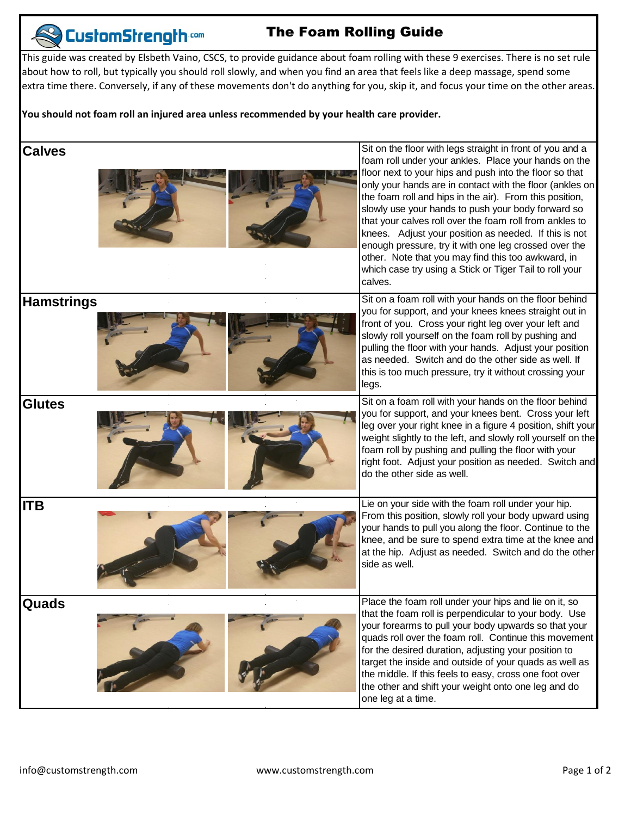## **CustomStrength com**

## The Foam Rolling Guide

This guide was created by Elsbeth Vaino, CSCS, to provide guidance about foam rolling with these 9 exercises. There is no set rule about how to roll, but typically you should roll slowly, and when you find an area that feels like a deep massage, spend some extra time there. Conversely, if any of these movements don't do anything for you, skip it, and focus your time on the other areas.

## **You should not foam roll an injured area unless recommended by your health care provider.**

| <b>Calves</b>     | Sit on the floor with legs straight in front of you and a<br>foam roll under your ankles. Place your hands on the                                                                                                                                                                                                                                                                                                                                                                                                                             |
|-------------------|-----------------------------------------------------------------------------------------------------------------------------------------------------------------------------------------------------------------------------------------------------------------------------------------------------------------------------------------------------------------------------------------------------------------------------------------------------------------------------------------------------------------------------------------------|
|                   | floor next to your hips and push into the floor so that<br>only your hands are in contact with the floor (ankles on<br>the foam roll and hips in the air). From this position,<br>slowly use your hands to push your body forward so<br>that your calves roll over the foam roll from ankles to<br>knees. Adjust your position as needed. If this is not<br>enough pressure, try it with one leg crossed over the<br>other. Note that you may find this too awkward, in<br>which case try using a Stick or Tiger Tail to roll your<br>calves. |
| <b>Hamstrings</b> | Sit on a foam roll with your hands on the floor behind<br>you for support, and your knees knees straight out in<br>front of you. Cross your right leg over your left and<br>slowly roll yourself on the foam roll by pushing and<br>pulling the floor with your hands. Adjust your position<br>as needed. Switch and do the other side as well. If<br>this is too much pressure, try it without crossing your<br>legs.                                                                                                                        |
| <b>Glutes</b>     | Sit on a foam roll with your hands on the floor behind<br>you for support, and your knees bent. Cross your left<br>leg over your right knee in a figure 4 position, shift your<br>weight slightly to the left, and slowly roll yourself on the<br>foam roll by pushing and pulling the floor with your<br>right foot. Adjust your position as needed. Switch and<br>do the other side as well.                                                                                                                                                |
| <b>ITB</b>        | Lie on your side with the foam roll under your hip.<br>From this position, slowly roll your body upward using<br>your hands to pull you along the floor. Continue to the<br>knee, and be sure to spend extra time at the knee and<br>at the hip. Adjust as needed. Switch and do the other<br>side as well.                                                                                                                                                                                                                                   |
| Quads             | Place the foam roll under your hips and lie on it, so<br>that the foam roll is perpendicular to your body. Use<br>your forearms to pull your body upwards so that your<br>quads roll over the foam roll. Continue this movement<br>for the desired duration, adjusting your position to<br>target the inside and outside of your quads as well as<br>the middle. If this feels to easy, cross one foot over<br>the other and shift your weight onto one leg and do<br>one leg at a time.                                                      |